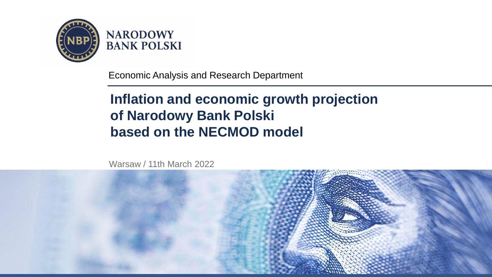

**NARODOWY BANK POLSKI** 

Economic Analysis and Research Department

# **Inflation and economic growth projection of Narodowy Bank Polski based on the NECMOD model**

Warsaw / 11th March 2022

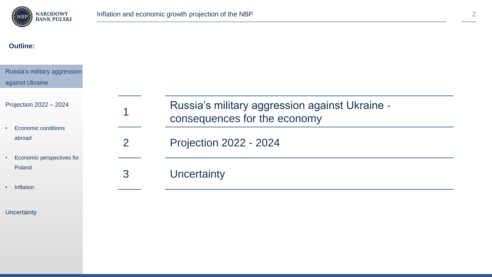

1

#### **Outline:**

#### Russia's military aggression against Ukraine

Projection 2022 – 2024

- Economic conditions abroad
- Economic perspectives for Poland
- Inflation

#### **Uncertainty**

| Russia's military aggression against Ukraine - |
|------------------------------------------------|
| consequences for the economy                   |

2 Projection 2022 - 2024

3 Uncertainty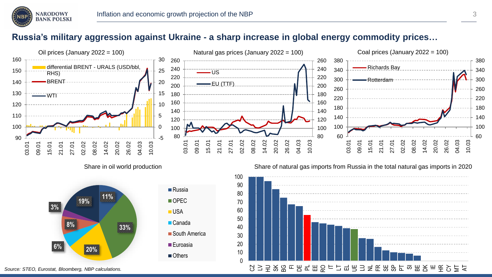

#### **Russia's military aggression against Ukraine - a sharp increase in global energy commodity prices…**



Share in oil world production







*Source: STEO, Eurostat, Bloomberg, NBP calculations.*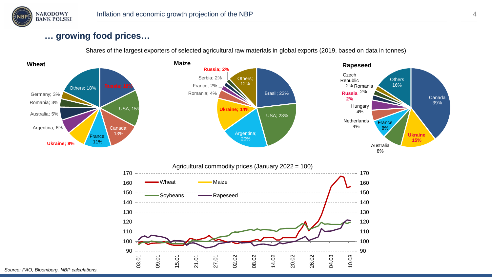

#### **… growing food prices…**

Shares of the largest exporters of selected agricultural raw materials in global exports (2019, based on data in tonnes)



*Source: FAO, Bloomberg, NBP calculations.*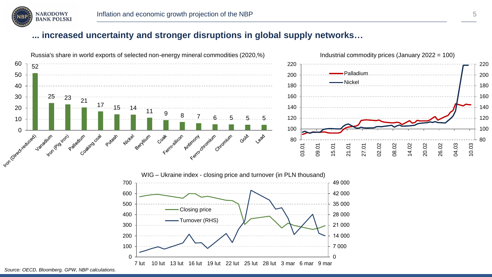

#### **... increased uncertainty and stronger disruptions in global supply networks…**

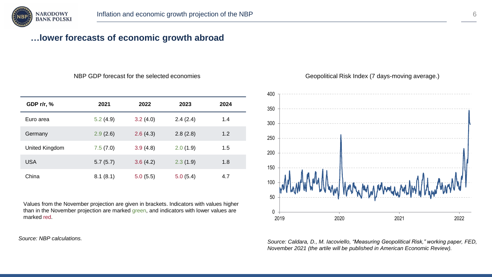

## **…lower forecasts of economic growth abroad**

| GDP r/r, %     | 2021     | 2022     | 2023     | 2024 |
|----------------|----------|----------|----------|------|
| Euro area      | 5.2(4.9) | 3.2(4.0) | 2.4(2.4) | 1.4  |
| Germany        | 2.9(2.6) | 2.6(4.3) | 2.8(2.8) | 1.2  |
| United Kingdom | 7.5(7.0) | 3.9(4.8) | 2.0(1.9) | 1.5  |
| <b>USA</b>     | 5.7(5.7) | 3.6(4.2) | 2.3(1.9) | 1.8  |
| China          | 8.1(8.1) | 5.0(5.5) | 5.0(5.4) | 4.7  |

Values from the November projection are given in brackets. Indicators with values higher than in the November projection are marked green, and indicators with lower values are marked red.

*Source: NBP calculations.*



*Source: Caldara, D., M. Iacoviello, "Measuring Geopolitical Risk," working paper, FED, November 2021 (the artile will be published in American Economic Review).*

NBP GDP forecast for the selected economies Geopolitical Risk Index (7 days-moving average.)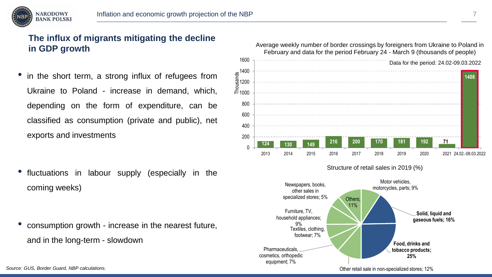

## **The influx of migrants mitigating the decline in GDP growth**

in the short term, a strong influx of refugees from Ukraine to Poland - increase in demand, which, depending on the form of expenditure, can be classified as consumption (private and public), net exports and investments

fluctuations in labour supply (especially in the coming weeks)

• consumption growth - increase in the nearest future, and in the long-term - slowdown



**Pharmaceuticals** 

9%

equipment; 7%

**Solid, liquid and gaseous fuels; 16% Food, drinks and tobacco products; 25%** cosmetics, orthopedic Textiles, clothing, footwear; 7% household appliances;

Other retail sale in non-specialized stores; 12%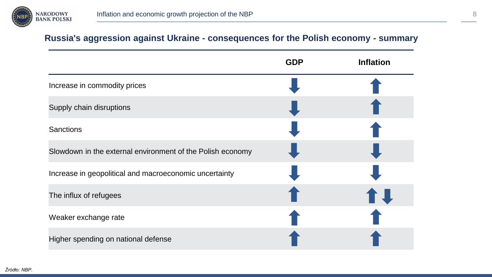

#### **Russia's aggression against Ukraine - consequences for the Polish economy - summary**

|                                                            | <b>GDP</b> | <b>Inflation</b> |
|------------------------------------------------------------|------------|------------------|
| Increase in commodity prices                               |            |                  |
| Supply chain disruptions                                   |            |                  |
| <b>Sanctions</b>                                           |            |                  |
| Slowdown in the external environment of the Polish economy |            |                  |
| Increase in geopolitical and macroeconomic uncertainty     |            |                  |
| The influx of refugees                                     |            | <b>fl</b>        |
| Weaker exchange rate                                       |            |                  |
| Higher spending on national defense                        |            |                  |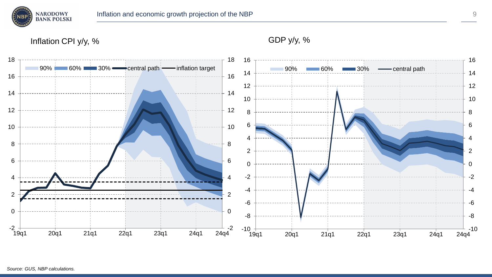

Inflation CPI y/y, % GDP y/y, %

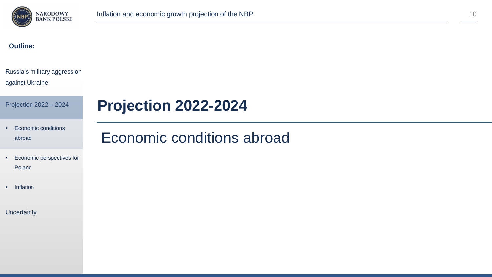

**Projection 2022-2024**

#### **Outline:**

### Russia's military aggression

#### against Ukraine

Projection 2022 – 2024

#### • Economic conditions abroad

# Economic conditions abroad

- Economic perspectives for Poland
- Inflation

#### **Uncertainty**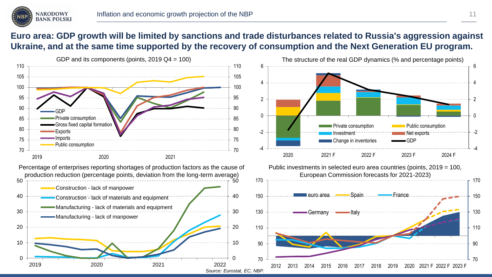

#### **Euro area: GDP growth will be limited by sanctions and trade disturbances related to Russia's aggression against Ukraine, and at the same time supported by the recovery of consumption and the Next Generation EU program.**

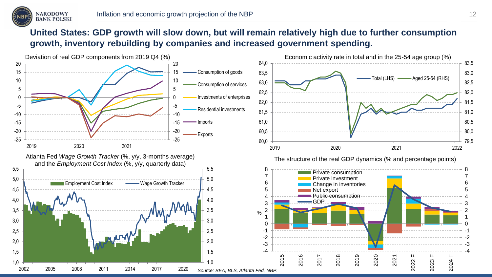

## **United States: GDP growth will slow down, but will remain relatively high due to further consumption growth, inventory rebuilding by companies and increased government spending.**

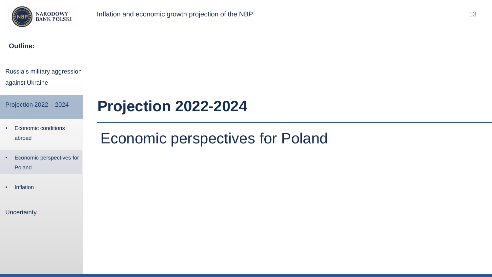

#### **Outline:**

#### Russia's military aggression

#### against Ukraine

Projection 2022 – 2024

# **Projection 2022-2024**

• Economic conditions abroad

#### • Economic perspectives for Poland

• Inflation

#### **Uncertainty**

# Economic perspectives for Poland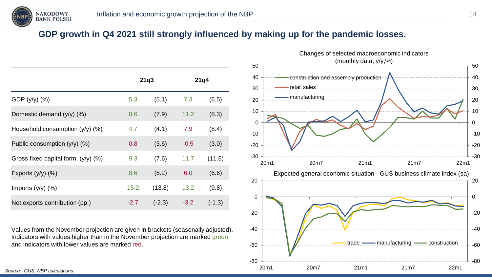

## **GDP growth in Q4 2021 still strongly influenced by making up for the pandemic losses.**

|                                       |        | 21q3     |        | 21q4     |
|---------------------------------------|--------|----------|--------|----------|
| GDP $(y/y)$ $(\%)$                    | 5.3    | (5.1)    | 7.3    | (6.5)    |
| Domestic demand $(y/y)$ $(\%)$        | 8.6    | (7.9)    | 11.2   | (8.3)    |
| Household consumption $(y/y)$ (%)     | 4.7    | (4.1)    | 7.9    | (8.4)    |
| Public consumption $(y/y)$ (%)        | 0.8    | (3.6)    | $-0.5$ | (3.0)    |
| Gross fixed capital form. $(y/y)$ (%) | 9.3    | (7.6)    | 11.7   | (11.5)   |
| Exports $(y/y)$ $(\%)$                | 8.6    | (8.2)    | 6.0    | (6.6)    |
| Imports $(y/y)$ $(\%)$                | 15.2   | (13.8)   | 13.2   | (9.8)    |
| Net exports contribution (pp.)        | $-2.7$ | $(-2.3)$ | $-3.2$ | $(-1.3)$ |

Values from the November projection are given in brackets (seasonally adjusted). Indicators with values higher than in the November projection are marked green, and indicators with lower values are marked red.

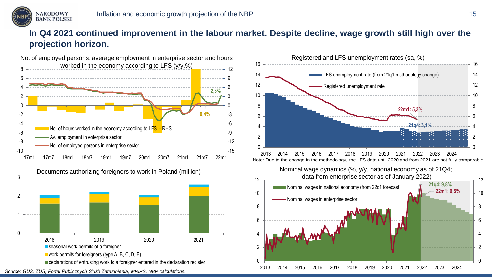

## **In Q4 2021 continued improvement in the labour market. Despite decline, wage growth still high over the projection horizon.**







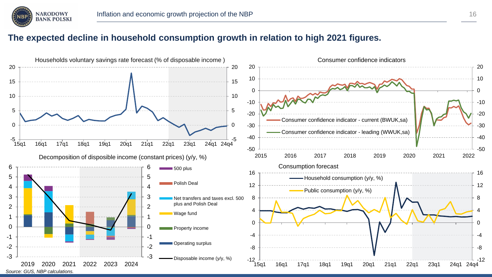

#### **The expected decline in household consumption growth in relation to high 2021 figures.**

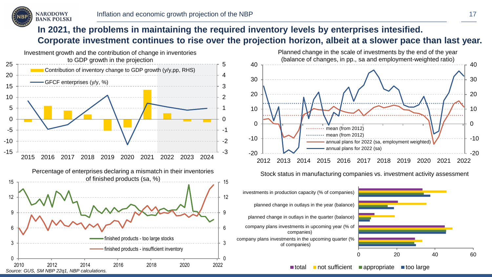

## **In 2021, the problems in maintaining the required inventory levels by enterprises intesified. Corporate investment continues to rise over the projection horizon, albeit at a slower pace than last year.**





Stock status in manufacturing companies vs. investment activity assessment



 $\blacksquare$  total  $\blacksquare$  not sufficient  $\blacksquare$  appropriate  $\blacksquare$  too large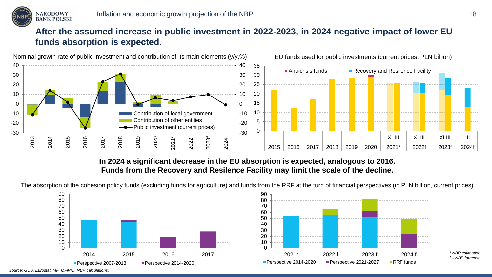

## **After the assumed increase in public investment in 2022-2023, in 2024 negative impact of lower EU funds absorption is expected.**



**In 2024 a significant decrease in the EU absorption is expected, analogous to 2016. Funds from the Recovery and Resilence Facility may limit the scale of the decline.**

The absorption of the cohesion policy funds (excluding funds for agriculture) and funds from the RRF at the turn of financial perspectives (in PLN billion, current prices)





*Source: GUS, Eurostat, MF, MFiPR,, NBP calculations.* 

*\* NBP estimation f – NBP forecast*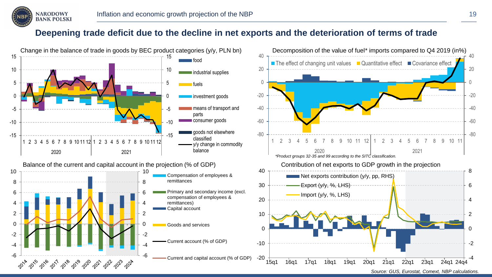

#### **Deepening trade deficit due to the decline in net exports and the deterioration of terms of trade**

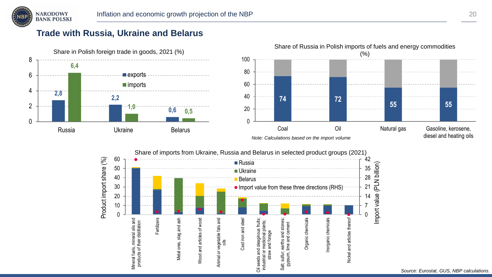

## **Trade with Russia, Ukraine and Belarus**

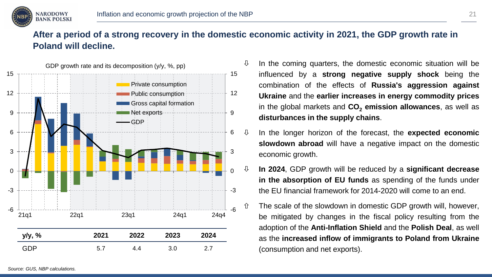

# **After a period of a strong recovery in the domestic economic activity in 2021, the GDP growth rate in Poland will decline.**



- $\downarrow$  In the coming quarters, the domestic economic situation will be influenced by a **strong negative supply shock** being the combination of the effects of **Russia's aggression against Ukraine** and the **earlier increases in energy commodity prices** in the global markets and **CO<sup>2</sup> emission allowances**, as well as **disturbances in the supply chains**.
- In the longer horizon of the forecast, the **expected economic slowdown abroad** will have a negative impact on the domestic economic growth.
- **In 2024**, GDP growth will be reduced by a **significant decrease in the absorption of EU funds** as spending of the funds under the EU financial framework for 2014-2020 will come to an end.
	- The scale of the slowdown in domestic GDP growth will, however, be mitigated by changes in the fiscal policy resulting from the adoption of the **Anti-Inflation Shield** and the **Polish Deal**, as well as the **increased inflow of immigrants to Poland from Ukraine** (consumption and net exports).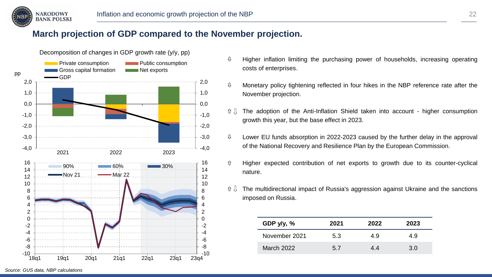

## **March projection of GDP compared to the November projection.**



- $\updownarrow$  Higher inflation limiting the purchasing power of households, increasing operating costs of enterprises.
- $\uppsi$  Monetary policy tightening reflected in four hikes in the NBP reference rate after the November projection.
- $\hat{U} \parallel$  The adoption of the Anti-Inflation Shield taken into account higher consumption growth this year, but the base effect in 2023.
- $\uparrow$  Lower EU funds absorption in 2022-2023 caused by the further delay in the approval of the National Recovery and Resilience Plan by the European Commission.
- $\hat{U}$  Higher expected contribution of net exports to growth due to its counter-cyclical nature.
- $\hat{U} \cup \hat{U}$  The multidirectional impact of Russia's aggression against Ukraine and the sanctions imposed on Russia.

| GDP $y/y$ , %     | 2021 | 2022 | 2023 |
|-------------------|------|------|------|
| November 2021     | 5.3  | 4.9  | 4.9  |
| <b>March 2022</b> | 57   | 44   | 3 በ  |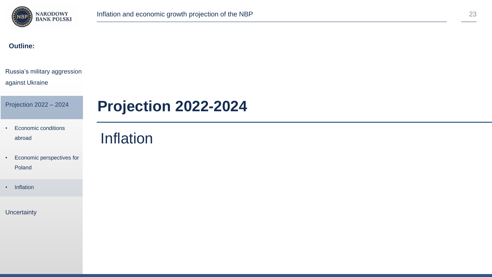

#### **Outline:**

#### Russia's military aggression

#### against Ukraine

Projection 2022 – 2024

#### • Economic conditions abroad

• Economic perspectives for

Poland

• Inflation

**Uncertainty** 

# **Projection 2022-2024**

# Inflation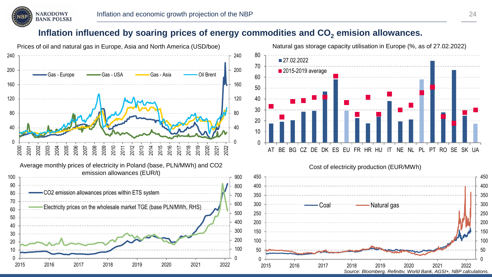

#### **Inflation influenced by soaring prices of energy commodities and CO<sup>2</sup> emision allowances.**





#### Cost of electricity production (EUR/MWh)

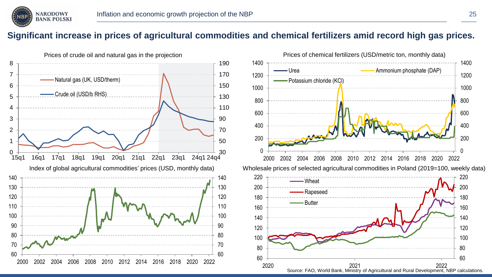

#### **Significant increase in prices of agricultural commodities and chemical fertilizers amid record high gas prices.**





Source: FAO, World Bank, Ministry of Agricultural and Rural Development, NBP calculations. 2021 2022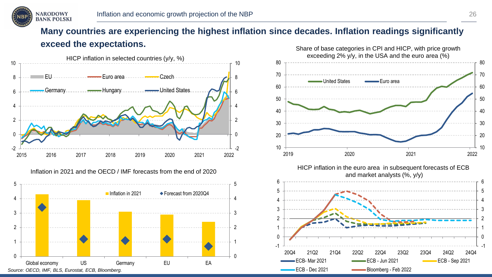

# **Many countries are experiencing the highest inflation since decades. Inflation readings significantly exceed the expectations.**



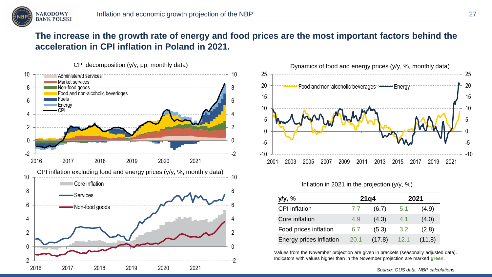

## **The increase in the growth rate of energy and food prices are the most important factors behind the acceleration in CPI inflation in Poland in 2021.**





Inflation in 2021 in the projection (y/y, %)

| y/y, %                  |      | 21q4   | 2021 |        |  |
|-------------------------|------|--------|------|--------|--|
| CPI inflation           | 7.7  | (6.7)  | 5.1  | (4.9)  |  |
| Core inflation          | 4.9  | (4.3)  | 4.1  | (4.0)  |  |
| Food prices inflation   | 6.7  | (5.3)  | 3.2  | (2.8)  |  |
| Energy prices inflation | 20.1 | (17.8) | 12.1 | (11.8) |  |

Values from the November projection are given in brackets (seasonally adjusted data). Indicators with values higher than in the November projection are marked **green**.

*Source: GUS data, NBP calculations.*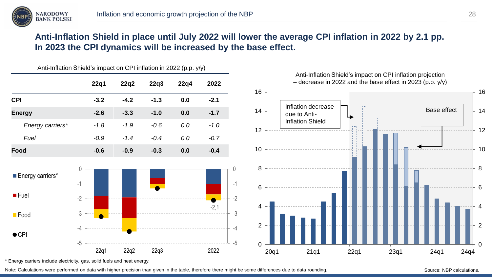

## **Anti-Inflation Shield in place until July 2022 will lower the average CPI inflation in 2022 by 2.1 pp. In 2023 the CPI dynamics will be increased by the base effect.**

|                                             | $P_{\text{H}}(P_{\text{H}}(P_{\text{H}}(P_{\text{H}}(P_{\text{H}}(P_{\text{H}}(P_{\text{H}}(P_{\text{H}}(P_{\text{H}}(P_{\text{H}}(P_{\text{H}}(P_{\text{H}}(P_{\text{H}}(P_{\text{H}}(P_{\text{H}}(P_{\text{H}}(P_{\text{H}}(P_{\text{H}}(P_{\text{H}}(P_{\text{H}}(P_{\text{H}}(P_{\text{H}}(P_{\text{H}}(P_{\text{H}}(P_{\text{H}}(P_{\text{H}}(P_{\text{H}}(P_{\text$ |        |        |      |        |                                            | Anti-Inflation Shield's impact on CPI inflation projection  |      |      |             |      |
|---------------------------------------------|---------------------------------------------------------------------------------------------------------------------------------------------------------------------------------------------------------------------------------------------------------------------------------------------------------------------------------------------------------------------------|--------|--------|------|--------|--------------------------------------------|-------------------------------------------------------------|------|------|-------------|------|
|                                             | 22q1                                                                                                                                                                                                                                                                                                                                                                      | 22q2   | 22q3   | 22q4 | 2022   |                                            | $-$ decrease in 2022 and the base effect in 2023 (p.p. y/y) |      |      |             |      |
| <b>CPI</b>                                  | $-3.2$                                                                                                                                                                                                                                                                                                                                                                    | $-4.2$ | $-1.3$ | 0.0  | $-2.1$ | 16                                         |                                                             |      |      |             |      |
| <b>Energy</b>                               | $-2.6$                                                                                                                                                                                                                                                                                                                                                                    | $-3.3$ | $-1.0$ | 0.0  | $-1.7$ | 14                                         | Inflation decrease<br>due to Anti-                          |      |      | Base effect |      |
| Energy carriers*                            | $-1.8$                                                                                                                                                                                                                                                                                                                                                                    | $-1.9$ | $-0.6$ | 0.0  | $-1.0$ | 12                                         | <b>Inflation Shield</b>                                     |      |      |             |      |
| Fuel                                        | $-0.9$                                                                                                                                                                                                                                                                                                                                                                    | $-1.4$ | $-0.4$ | 0.0  | $-0.7$ |                                            |                                                             |      |      |             |      |
| Food                                        | $-0.6$                                                                                                                                                                                                                                                                                                                                                                    | $-0.9$ | $-0.3$ | 0.0  | $-0.4$ | 10                                         |                                                             |      |      |             |      |
| Energy carriers*<br>$I$ Fuel<br><b>Food</b> | $-1$<br>$-2$<br>$-3$                                                                                                                                                                                                                                                                                                                                                      |        |        |      | $-2,1$ | 8<br>6<br>$-2$<br>4<br>$-3$                |                                                             |      |      |             |      |
| $\bullet$ CPI                               | -4<br>$-5$                                                                                                                                                                                                                                                                                                                                                                |        |        |      |        | $\overline{c}$<br>$-4$<br>$-5$<br>$\Omega$ |                                                             |      |      |             |      |
|                                             | 22q1                                                                                                                                                                                                                                                                                                                                                                      | 22q2   | 22q3   |      | 2022   | 20q1                                       | 21q1                                                        | 22q1 | 23q1 | 24q1        | 24q4 |

Anti-Inflation Shield's impact on CPI inflation in 2022 (p.p.  $y(y)$ )



\* Energy carriers include electricity, gas, solid fuels and heat energy.

Note: Calculations were performed on data with higher precision than given in the table, therefore there might be some differences due to data rounding.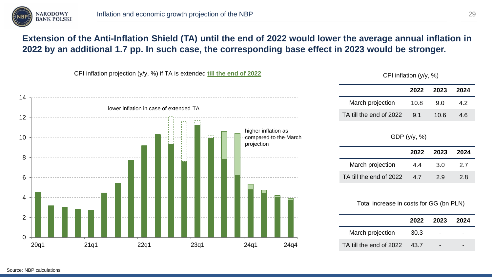

## **Extension of the Anti-Inflation Shield (TA) until the end of 2022 would lower the average annual inflation in 2022 by an additional 1.7 pp. In such case, the corresponding base effect in 2023 would be stronger.**



CPI inflation (y/y, %)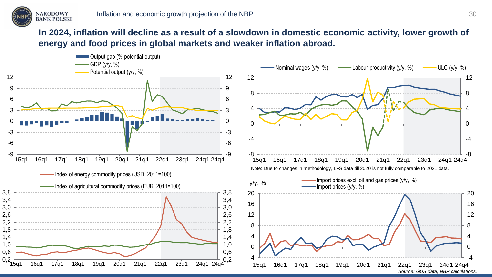

## **In 2024, inflation will decline as a result of a slowdown in domestic economic activity, lower growth of energy and food prices in global markets and weaker inflation abroad.**

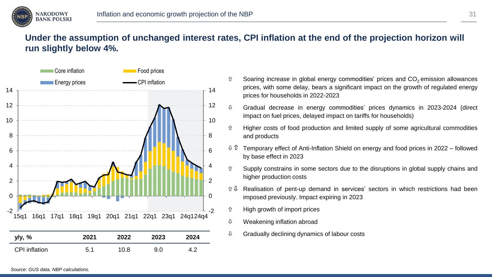

## **Under the assumption of unchanged interest rates, CPI inflation at the end of the projection horizon will run slightly below 4%.**



- Energy prices **CPI** inflation **Soaring increase in global energy commodities' prices and CO<sub>2</sub> emission allowances** prices, with some delay, bears a significant impact on the growth of regulated energy prices for households in 2022-2023
	- $\sqrt{0}$  Gradual decrease in energy commodities' prices dynamics in 2023-2024 (direct impact on fuel prices, delayed impact on tariffs for households)
	- $\hat{U}$  Higher costs of food production and limited supply of some agricultural commodities and products
	- $\sqrt{u}$  Temporary effect of Anti-Inflation Shield on energy and food prices in 2022 followed by base effect in 2023
	- $\hat{U}$  Supply constrains in some sectors due to the disruptions in global supply chains and higher production costs
	- $\hat{U}$  Realisation of pent-up demand in services' sectors in which restrictions had been imposed previously. Impact expiring in 2023
	- High growth of import prices
	- $\uppsi$  Weakening inflation abroad
	- $\theta$  Gradually declining dynamics of labour costs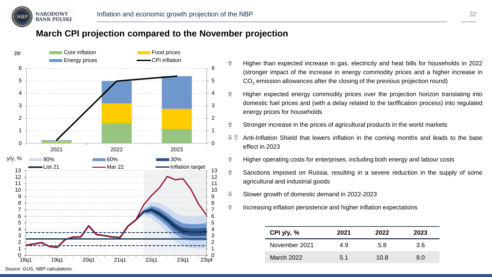

#### **March CPI projection compared to the November projection**



- $\hat{U}$  Higher than expected increase in gas, electricity and heat bills for households in 2022 (stronger impact of the increase in energy commodity prices and a higher increase in  $CO<sub>2</sub>$  emission allowances after the closing of the previous projection round)
- Higher expected energy commodity prices over the projection horizon translating into domestic fuel prices and (with a delay related to the tariffication process) into regulated energy prices for households
- $\hat{U}$  Stronger increase in the prices of agricultural products in the world markets
- $\theta$   $\hat{U}$  Anti-Inflation Shield that lowers inflation in the coming months and leads to the base effect in 2023
- $\hat{U}$  Higher operating costs for enterprises, including both energy and labour costs
- $\hat{U}$  Sanctions imposed on Russia, resulting in a severe reduction in the supply of some agricultural and industrial goods
- $\sqrt{0}$  Slower growth of domestic demand in 2022-2023
- $\hat{U}$  Increasing inflation persistence and higher inflation expectations

| CPI $y/y$ , % | 2021 | 2022 | 2023 |
|---------------|------|------|------|
| November 2021 | 4.9  | 5.8  | 3.6  |
| March 2022    | 5.1  | 10.8 | 9 N  |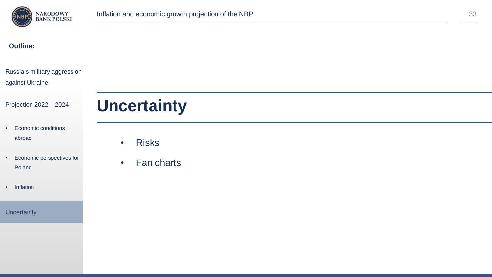

#### **Outline:**

| Russia's military aggression<br>against Ukraine |                           |
|-------------------------------------------------|---------------------------|
| Projection 2022 - 2024                          | <b>Uncertainty</b>        |
| Economic conditions<br>٠<br>abroad              | <b>Risks</b><br>$\bullet$ |
| Economic perspectives for<br>٠<br>Poland        | Fan charts<br>$\bullet$   |
| Inflation<br>$\bullet$                          |                           |
| <b>Uncertainty</b>                              |                           |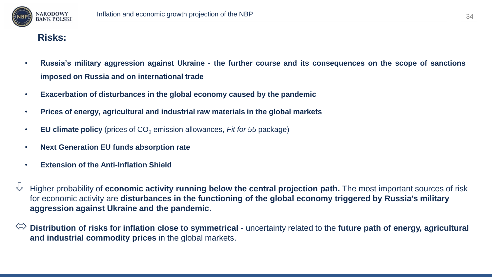

#### **Risks:**

- . Russia's military aggression against Ukraine the further course and its consequences on the scope of sanctions **imposed on Russia and on international trade**
- **Exacerbation of disturbances in the global economy caused by the pandemic**
- **Prices of energy, agricultural and industrial raw materials in the global markets**
- **EU climate policy** (prices of CO<sub>2</sub> emission allowances, *Fit for 55* package)
- **Next Generation EU funds absorption rate**
- **Extension of the Anti-Inflation Shield**
- $\overline{\psi}$  Higher probability of **economic activity running below the central projection path.** The most important sources of risk for economic activity are **disturbances in the functioning of the global economy triggered by Russia's military aggression against Ukraine and the pandemic**.
- **Distribution of risks for inflation close to symmetrical** uncertainty related to the **future path of energy, agricultural and industrial commodity prices** in the global markets.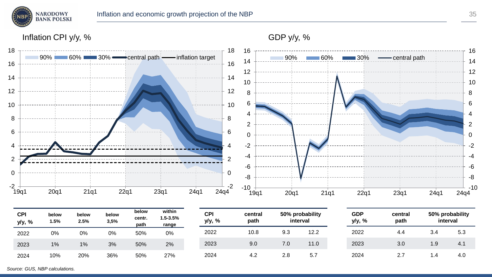

2022 4.4 3.4 5.3 2023 3.0 1.9 4.1 2024 2.7 1.4 4.0

Inflation CPI y/y, %



2022 10.8 9.3 12.2 2023 9.0 7.0 11.0 2024 4.2 2.8 5.7

*Source: GUS, NBP calculations.*

2022 0% 0% 0% 50% 0% 2023 1% 1% 3% 50% 2% 2024 10% 20% 36% 50% 27%